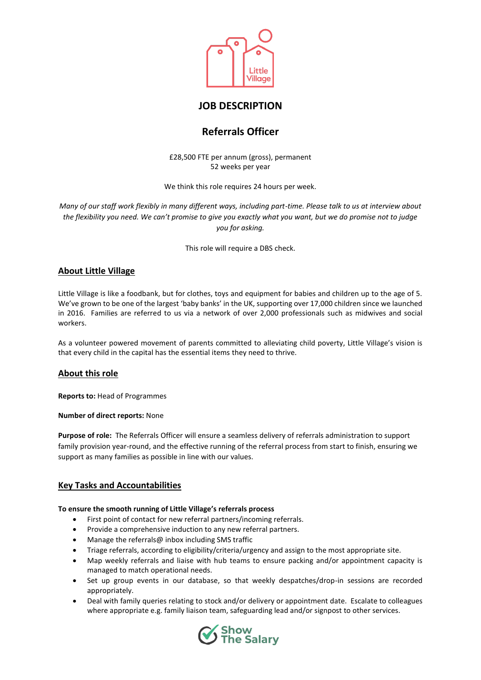

# **JOB DESCRIPTION**

# **Referrals Officer**

£28,500 FTE per annum (gross), permanent 52 weeks per year

We think this role requires 24 hours per week.

*Many of our staff work flexibly in many different ways, including part-time. Please talk to us at interview about the flexibility you need. We can't promise to give you exactly what you want, but we do promise not to judge you for asking.* 

This role will require a DBS check.

# **About Little Village**

Little Village is like a foodbank, but for clothes, toys and equipment for babies and children up to the age of 5. We've grown to be one of the largest 'baby banks' in the UK, supporting over 17,000 children since we launched in 2016. Families are referred to us via a network of over 2,000 professionals such as midwives and social workers.

As a volunteer powered movement of parents committed to alleviating child poverty, Little Village's vision is that every child in the capital has the essential items they need to thrive.

# **About this role**

**Reports to:** Head of Programmes

**Number of direct reports:** None

**Purpose of role:** The Referrals Officer will ensure a seamless delivery of referrals administration to support family provision year-round, and the effective running of the referral process from start to finish, ensuring we support as many families as possible in line with our values.

# **Key Tasks and Accountabilities**

## **To ensure the smooth running of Little Village's referrals process**

- First point of contact for new referral partners/incoming referrals.
- Provide a comprehensive induction to any new referral partners.
- Manage the referrals@ inbox including SMS traffic
- Triage referrals, according to eligibility/criteria/urgency and assign to the most appropriate site.
- Map weekly referrals and liaise with hub teams to ensure packing and/or appointment capacity is managed to match operational needs.
- Set up group events in our database, so that weekly despatches/drop-in sessions are recorded appropriately.
- Deal with family queries relating to stock and/or delivery or appointment date. Escalate to colleagues where appropriate e.g. family liaison team, safeguarding lead and/or signpost to other services.

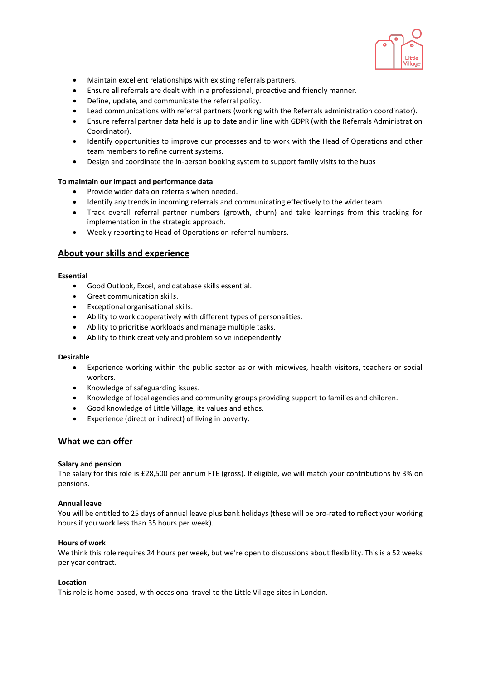

- Maintain excellent relationships with existing referrals partners.
- Ensure all referrals are dealt with in a professional, proactive and friendly manner.
- Define, update, and communicate the referral policy.
- Lead communications with referral partners (working with the Referrals administration coordinator).
- Ensure referral partner data held is up to date and in line with GDPR (with the Referrals Administration Coordinator).
- Identify opportunities to improve our processes and to work with the Head of Operations and other team members to refine current systems.
- Design and coordinate the in-person booking system to support family visits to the hubs

## **To maintain our impact and performance data**

- Provide wider data on referrals when needed.
- Identify any trends in incoming referrals and communicating effectively to the wider team.
- Track overall referral partner numbers (growth, churn) and take learnings from this tracking for implementation in the strategic approach.
- Weekly reporting to Head of Operations on referral numbers.

## **About your skills and experience**

#### **Essential**

- Good Outlook, Excel, and database skills essential.
- Great communication skills.
- Exceptional organisational skills.
- Ability to work cooperatively with different types of personalities.
- Ability to prioritise workloads and manage multiple tasks.
- Ability to think creatively and problem solve independently

#### **Desirable**

- Experience working within the public sector as or with midwives, health visitors, teachers or social workers.
- Knowledge of safeguarding issues.
- Knowledge of local agencies and community groups providing support to families and children.
- Good knowledge of Little Village, its values and ethos.
- Experience (direct or indirect) of living in poverty.

## **What we can offer**

#### **Salary and pension**

The salary for this role is £28,500 per annum FTE (gross). If eligible, we will match your contributions by 3% on pensions.

#### **Annual leave**

You will be entitled to 25 days of annual leave plus bank holidays (these will be pro-rated to reflect your working hours if you work less than 35 hours per week).

#### **Hours of work**

We think this role requires 24 hours per week, but we're open to discussions about flexibility. This is a 52 weeks per year contract.

#### **Location**

This role is home-based, with occasional travel to the Little Village sites in London.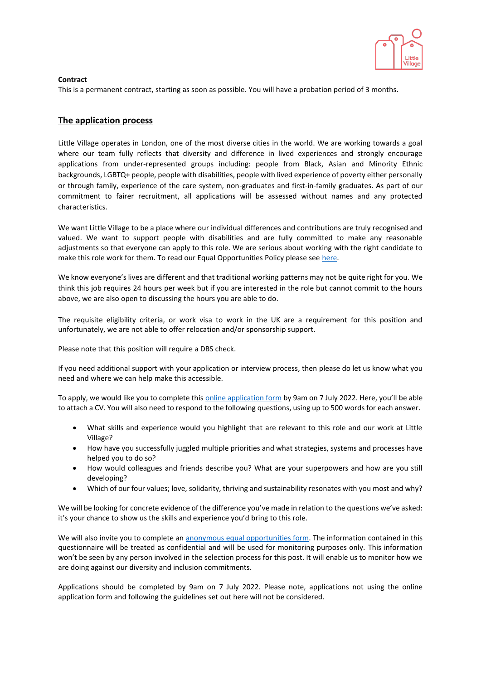

## **Contract**

This is a permanent contract, starting as soon as possible. You will have a probation period of 3 months.

# **The application process**

Little Village operates in London, one of the most diverse cities in the world. We are working towards a goal where our team fully reflects that diversity and difference in lived experiences and strongly encourage applications from under-represented groups including: people from Black, Asian and Minority Ethnic backgrounds, LGBTQ+ people, people with disabilities, people with lived experience of poverty either personally or through family, experience of the care system, non-graduates and first-in-family graduates. As part of our commitment to fairer recruitment, all applications will be assessed without names and any protected characteristics.

We want Little Village to be a place where our individual differences and contributions are truly recognised and valued. We want to support people with disabilities and are fully committed to make any reasonable adjustments so that everyone can apply to this role. We are serious about working with the right candidate to make this role work for them. To read our Equal Opportunities Policy please se[e here.](https://wp.littlevillagehq.org/wp-content/uploads/2021/06/Little_Village.Equal_Opportunities.March_2021.FINAL-Copy.pdf)

We know everyone's lives are different and that traditional working patterns may not be quite right for you. We think this job requires 24 hours per week but if you are interested in the role but cannot commit to the hours above, we are also open to discussing the hours you are able to do.

The requisite eligibility criteria, or work visa to work in the UK are a requirement for this position and unfortunately, we are not able to offer relocation and/or sponsorship support.

Please note that this position will require a DBS check.

If you need additional support with your application or interview process, then please do let us know what you need and where we can help make this accessible.

To apply, we would like you to complete this [online application form](https://littlevillage.typeform.com/to/Glz0UhfI) by 9am on 7 July 2022. Here, you'll be able to attach a CV. You will also need to respond to the following questions, using up to 500 words for each answer.

- What skills and experience would you highlight that are relevant to this role and our work at Little Village?
- How have you successfully juggled multiple priorities and what strategies, systems and processes have helped you to do so?
- How would colleagues and friends describe you? What are your superpowers and how are you still developing?
- Which of our four values; love, solidarity, thriving and sustainability resonates with you most and why?

We will be looking for concrete evidence of the difference you've made in relation to the questions we've asked: it's your chance to show us the skills and experience you'd bring to this role.

We will also invite you to complete an [anonymous equal opportunities form.](https://littlevillage.typeform.com/to/j6rFdbYY) The information contained in this questionnaire will be treated as confidential and will be used for monitoring purposes only. This information won't be seen by any person involved in the selection process for this post. It will enable us to monitor how we are doing against our diversity and inclusion commitments.

Applications should be completed by 9am on 7 July 2022. Please note, applications not using the online application form and following the guidelines set out here will not be considered.